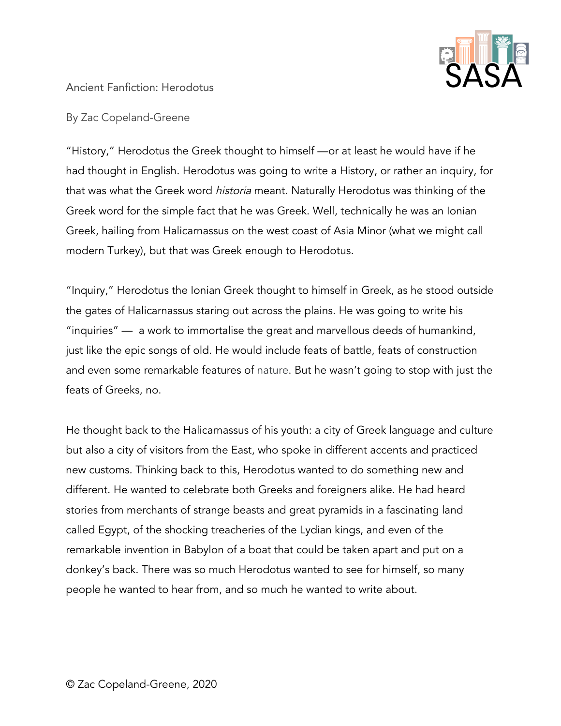

## Ancient Fanfiction: Herodotus

By Zac Copeland-Greene

"History," Herodotus the Greek thought to himself —or at least he would have if he had thought in English. Herodotus was going to write a History, or rather an inquiry, for that was what the Greek word historia meant. Naturally Herodotus was thinking of the Greek word for the simple fact that he was Greek. Well, technically he was an Ionian Greek, hailing from Halicarnassus on the west coast of Asia Minor (what we might call modern Turkey), but that was Greek enough to Herodotus.

"Inquiry," Herodotus the Ionian Greek thought to himself in Greek, as he stood outside the gates of Halicarnassus staring out across the plains. He was going to write his "inquiries" — a work to immortalise the great and marvellous deeds of humankind, just like the epic songs of old. He would include feats of battle, feats of construction and even some remarkable features of nature. But he wasn't going to stop with just the feats of Greeks, no.

He thought back to the Halicarnassus of his youth: a city of Greek language and culture but also a city of visitors from the East, who spoke in different accents and practiced new customs. Thinking back to this, Herodotus wanted to do something new and different. He wanted to celebrate both Greeks and foreigners alike. He had heard stories from merchants of strange beasts and great pyramids in a fascinating land called Egypt, of the shocking treacheries of the Lydian kings, and even of the remarkable invention in Babylon of a boat that could be taken apart and put on a donkey's back. There was so much Herodotus wanted to see for himself, so many people he wanted to hear from, and so much he wanted to write about.